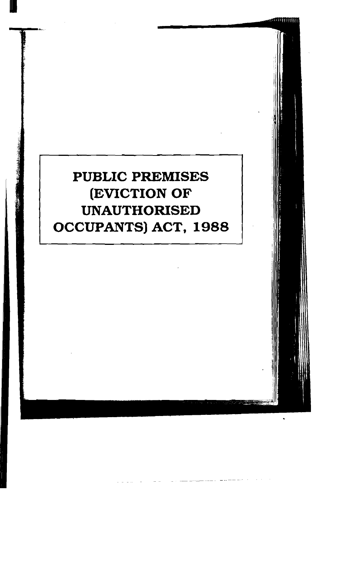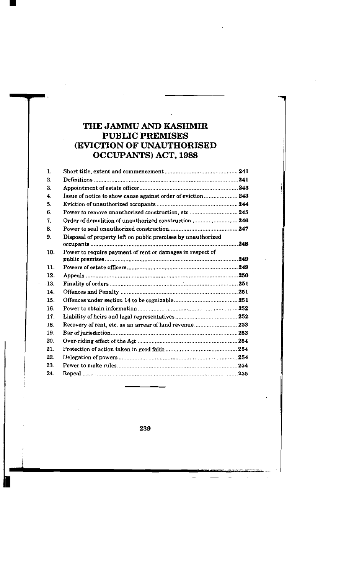# **THE JAMMU AND KASHMIR PUBLIC PREMISES (EVICTION OF UNAUTHORISED OCCUPANTS) ACT. 1988**

| 1.  |                                                              |  |
|-----|--------------------------------------------------------------|--|
| 2.  |                                                              |  |
| 3.  |                                                              |  |
| 4.  | Issue of notice to show cause against order of eviction 243  |  |
| 5.  |                                                              |  |
| 6.  | Power to remove unauthorized construction, etc  245          |  |
| 7.  | Order of demolition of unauthorized construction  246        |  |
| Β.  |                                                              |  |
| 9.  | Disposal of property left on public premises by unauthorized |  |
| 10. | Power to require payment of rent or damages in respect of    |  |
| 11. |                                                              |  |
| 12. |                                                              |  |
| 13. |                                                              |  |
| 14. |                                                              |  |
| 15. |                                                              |  |
| 16. |                                                              |  |
| 17. |                                                              |  |
| 18. | Recovery of rent, etc. as an arrear of land revenue 253      |  |
| 19. |                                                              |  |
| 20. |                                                              |  |
| 21. |                                                              |  |
| 22. |                                                              |  |
| 23. |                                                              |  |
| 24. |                                                              |  |

239

 $\frac{1}{2}$ 

 $\mathcal{L}^{\pm}$  .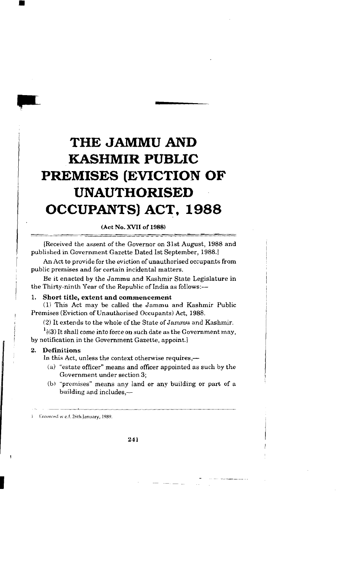# **THE JAMMU AND KASHMIR PUBLIC PREMISES (EVICTION OF UNAUTHORISED OCCUPANTS) ACT, 1988**

### **(Act No. XVII of 1988)** I -.

Received the assent of the Governor on 31st August, 1988 and published in Government Gazette Dated 1st September, 1988.1

An Act to provide for the eviction of unauthorised occupants from public premises and for certain incidental matters.

Be it enacted by the Jammu and Kashmir State Legislature in the Thirty-ninth Year of the Republic of India as follows:---<br>1. Short title, extent and commencement

(1) This Act may be called the Jammu and Kashmir Public Premises (Eviction of Unauthorised Occupants) Act, 1988.

(2) It extends to the whole of the State of Jammu and Kashmir.

 $t^{1}(3)$  It shall come into force on such date as the Government may, by notification in the Government Gazette, appoint.]

### 2. Definitions

i

In this Act, unless the context otherwise requires,-

- <sup>I</sup>**(a)** "estate officer" means and officer appointed as such by the Government under section 3;
- (b) "premises" means any land or any building or part of a building and includes,-

Enforced wielf. 26th January, 1989.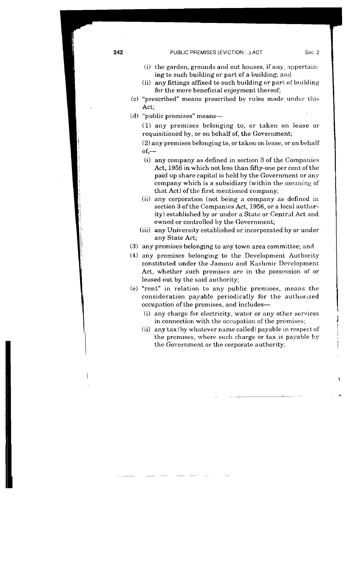- $(i)$  the garden, grounds and out houses, if any, appertaining to such building or part of a building; and
- (ii) any fittings affixed to such building or part of building for the more beneficial enjoyment thereof;
- (c) "prescribed" means prescribed bv rules made under this Act;
- (d) "public premises" means-

(1) any premises belonging to, or taken on lease or requisitioned by, or on behalf of, the Government;

(2) any premises belongingto, or taken on lease, or on behalf  $of -$ 

- (i) any company as defined in section 3 of the Companies Act, 1956 in which not less than fifty-one per cent of the paid up share capital is held by the Government or any company which is a subsidiary (within the meaning of that Act) of the first mentioned company;
- (ii) any corporation (not being a company as defined in section 3 of the Companies Act, 1956, or a local authority) established by or under a State or Central Act and owned or controlled by the Government;
- (iii) any University established or incorporated by or under any State Act;
- (3) any premises belonging to any town area committee; and
- **(4)** any premises belonging to the Development Authority constituted under the Jammu and Kashmir Development Act, whether such premises are in the possession of or leased out by the said authority;
- (e) "rent" in relation to any public premises, ineans the consideration payable periodically for the authorized occupation of the premises, and includes- <sup>1</sup>
	- **<sup>1</sup>**(i) any charge for electricity, water or any other services in connection with the occupation of the premises;
	- (ii) any tax (by whatever name called) payable in respect of the premises, where such charge or tax is payable by the Government or the corporate authority;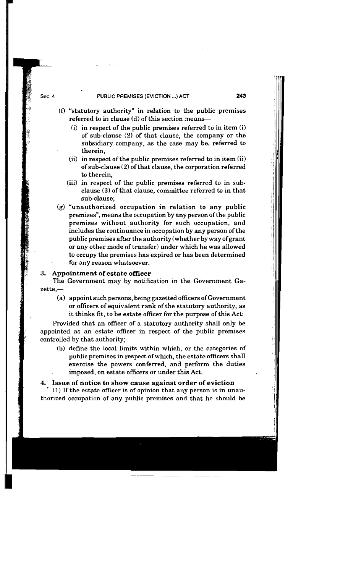### **PUBLIC PREMISES (EVICTION** ... **)ACT** 243

- (fl "statutory authority" in relation to the public premises referred to in clause (d) of this section means-
	- (i) in respect of the public premises referred to in item (i) of sub-clause  $(2)$  of that clause, the company or the subsidiary company, as the case may be, referred to therein,
	- (ii) in respect of the public premises referred to in item (ii) of sub-clause (2) of that clause, the corporation referred to therein,
	- (iii) in respect of the public premises referred to in sub-<br>clause (3) of that clause, committee referred to in that<br>sub-clause;
- sub-clause;<br>
(g) "unauthorized occupation in relation to any public<br>
example: example accupation by any property of the public premises", means the occupation by any person of the public<br>premises without authority for such occupation, and includes the continuance in occupation by any person of the public premises after the authority (whether by way of grant or any other mode of transfer) under which he was allowed to occupy the premises has expired or has been determined for any reason whatsoever.

### **3. Appointment of estate officer**

**1** 

Sec. 4

~ ~

The Government may by notification in the Government Gazette,-

(a) appoint such persons, being gazetted officers of Government or officers of equivalent rank of the statutory authority, as it thinks fit, to be estate officer for the purpose of this Act:

Provided that an oficer of a statutory authority shall only be appointed as an estate officer in respect of the public premises controlled by that authority;

(b) define the local limits within which, or the categories of public premises in respect ofwhich, the estate officers shall exercise the powers conferred, and perform the duties imposed, on estate officers or under this Act.

## **4. Issue of notice to show cause against order of eviction**

**(1)** If the estate oficer is of opinion that any person is in unauthorized occupation of any public premises and that he should be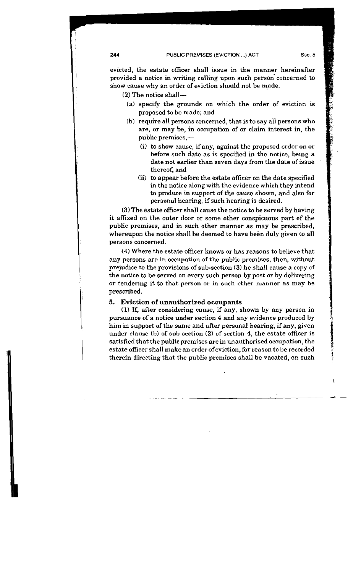evicted, the estate officer shall issue in the manner hereinafter provided a notice in writing calling upon such person concerned to show cause why an order of eviction should not be made.

**(2)** The notice shall-

- (a) specify the grounds on which the order of eviction is proposed to be made; and
- (b) require all persons concerned, that is to say all persons who are, or may be, in occupation of or claim interest in, the public premises,-
	- (i) to show cause, if any, against the proposed order on or before such date as is specified in the notice, being a date not earlier than seven days from the date of issue thereof, and
	- (ii) to appear before the estate officer on the date specified in the notice along with the evidence which they intend to produce in support of the cause shown, and also for personal hearing, if such hearing is desired.

(3)The estate officer shall cause the notice to be served by having it affixed on the outer door or some other conspicuous part of the public premises, and in such other manner as may be prescribed, whereupon the notice shall be deemed to have been duly given to all persons concerned.

(4) Where the estate officer knows or has reasons to believe that any persons are in occupation of the public premises, then, without prejudice to the provisions of sub-section (3) he shall cause a copy of the notice to be served on every such person by post or by delivering or tendering it to that person or in such other manner as may be prescribed.

### 5. Eviction of unauthorized occupants

**(1)** If, after considering cause, if any, shown by any person in pursuance of a notice under section 4 and any evidence produced by him in support of the same and after personal hearing, if any, given under clause (b) of sub-section (2) of section 4, the estate officer is satisfied that the public premises are in unauthorised occupation, the estate officer shall make an order ofeviction, for reason to be recorded therein directing that the public premises shall be vacated, on such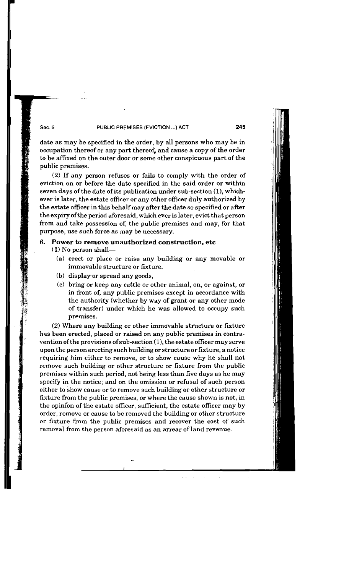### **PUBLIC PREMISES (EVICTION** ...) **ACT 245**

date as may be specified in the order, by all persons who may be in occupation thereof or any part thereof, and cause a copy of the order to be affixed on the outer door or some other conspicuous part of the public premises.

(2) If any person refuses or fails to comply with the order of eviction on or before the date specified in the said order or within seven days of the date of its publication under sub-section (I), whichever is later, the estate officer or any other officer duly authorized by the estate officer in this behalf may after the date so specified or after the expiry ofthe period aforesaid, which ever is later, evict that person from and take possession of, the public premises and may, for that purpose, use such force as may be necessary.

### 6. Power to remove unauthorized construction, etc  $(1)$  No person shall-

- (a) erect or place or raise any building or any movable or immovable structure or fixture,
- (b) display or spread any goods,

Sec. 6

(c) bring or keep any cattle or other animal, on, or against, or in front of, any public premises except in accordance with the authority (whether by way of grant or any other mode of transfer) under which he was allowed to occupy such premises.

(2) Where any building or other immovable structure or fixture has been erected, placed or raised on any public premises in contravention of the provisions of sub-section (I), the estate officer may serve upon the person erecting such building or structure or fixture, a notice requiring him either to remove, or to show cause why he shall not remove such building or other structure or fixture from the public premises within such period, not being less than five days as he may specify in the notice; and on the omission or refusal of such person either to show cause or to remove such building or other structure or fixture from the public premises, or where the cause shown is not, in the opinion of the estate officer, sufficient, the estate officer may by order, remove or cause to be removed the building or other structure or fixture from the public premises and recover the cost of such removal from the person aforesaid as an arrear of land revenue.

 $\omega = \omega$  .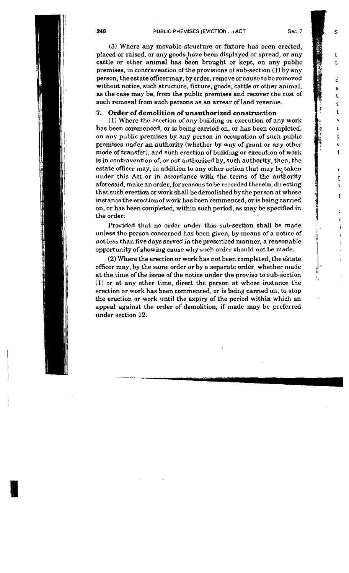Ś

t. t.

> d g t. t. t.  $\mathbf{r}$ Ċ Į É t

> > $\epsilon$  $\mathbf{r}$ i ۶

> > > ŧ  $\mathbf{r}$ i

**(3)** Where any movable structure or fixture has been erected, placed or raised, or any goods,have been displayed or spread, or any cattle or other animal has been brought or kept, on any public premises, in contravention of the provisions of sub-section (1) by any person, the estate officermay, by order, remove orcause to be removed without notice, such structure, fxture, goods, cattle or other animal, as the case may be, from the public premises and recover the cost of such removal from such persons as an arrear of land revenue.

### 7. Order of demolition of unauthorized construction

**(1)** Where the erection of any building or execution of any work has been commenced, or is being carried on, or has been completed, on any public premises by any person in occupation of such public premises under an authority (whether by way of grant or any other mode of transfer), and such erection of building or execution of work is in contravention of, or not authorized by, such authority, then, the estate officer may, in addition to any other action that may be taken under this Act or in accordance with the terms of the authority aforesaid, make an order, for reasons to be recorded therein, directing that such erection or work shall be demolished by the person at whose instance the erection of work has been commenced, or is being carried on, or has been completed, within such period, as may be specified in  $t_{\text{ref}}$  or the solution of  $t_{\text{ref}}$  and  $t_{\text{ref}}$  are  $t_{\text{ref}}$  and  $t_{\text{ref}}$  are  $t_{\text{ref}}$  and  $t_{\text{ref}}$ 

Provided that no order under this sub-section shall be made unless the person concerned has been given, by means of a notice of not less than five days served in the prescribed manner, a reasonable opportunity of showing cause why such order should not be made.

 $(2)$  Where the erection or work has not been completed, the estate officer may, by the same order or by a separate order, whether made at the time of the issue of the notice under the proviso to sub-section **(1)** or at any other time, direct the person at whose instance the erection or work has been commenced, or is being carried on, to stop the erection or work until the expiry of the period within which an appeal against the order of demolition, if made may be preferred under section 12.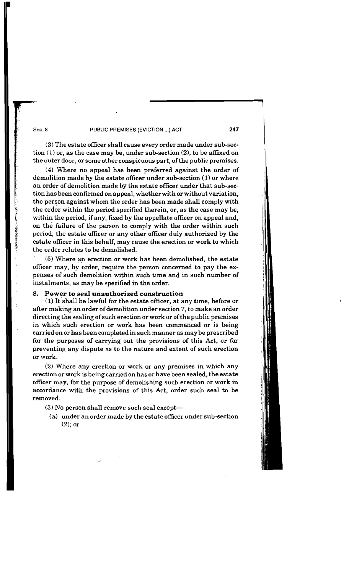### **Sec. 8 PUBLIC PREMISES (EVICTION** ...) **ACT 247** I

(3) The estate officer shall cause every order made under sub-section **(1)** or, as the case may be, under sub-section **(2),** to be affxed on the outer door, or some other conspicuous part, of the public premises.

**(4)** Where no appeal has been preferred against the order of demolition made by the estate oficer under sub-section **(1)** or where an order of demolition made by the estate officer under that sub-section has been confirmed on appeal, whetherwith or without variation, the person against whom the order has been made shall comply with the order within the period specified therein, or, as the case may be, within the period, if any, fxed by the appellate officer on appeal and, on the failure of the person to comply with the order within such period, the estate officer or any other officer duly authorized by the estate officer in this behalf, may cause the erection or work to which the order relates to be demolished.

**(5)** Where an erection or work has been demolished, the estate officer may, by order, require the person concerned to pay the expenses of such demolition within such time and in such number of instalments, as may be specified in the order.

### 8. Power to seal unauthorized construction

(1) It shall be lawful for the estate officer, at any time, before or after making an order of demolition under section 7, to make an order directing the sealing of such erection or work or of the public premises in which such erection or work has been commenced or is being carried on or has been completed in such manner as may be prescribed for the purposes of carrying out the provisions of this Act, or for preventing any dispute as to the nature and extent of such erection or work.

(2) Where any erection or work or any premises in which any erection or work is being carried on has or have been sealed, the estate officer may, for the purpose of demolishing such erection or work in accordance with the provisions of this Act, order such seal to be removed.

 $(3)$  No person shall remove such seal except-

(a) under an order made by the estate officer under sub-section (2); or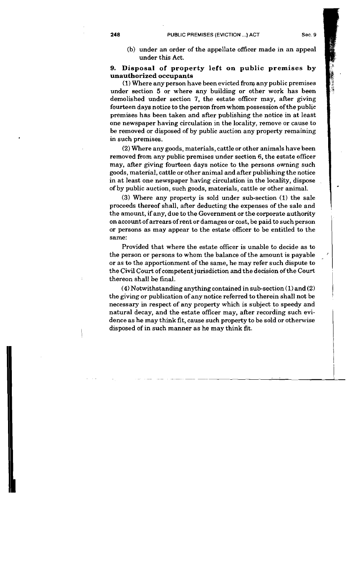- 
- (b) under an order of the appellate officer made in an appeal under this Act.

### **9. Disposal of property left on public premises by unauthorized occupants**

(1) Where any person have been evicted from any public premises under section 5 or where any building or other work has been demolished under section 7, the estate officer may, after giving fourteen days notice to the person from whom possession of the public premises has been taken and after publishing the notice in at least one newspaper having circulation in the locality, remove or cause to be removed or disposed of by public auction any property remaining in such premises.

**(2)** Where any goods, materials, cattle or other animals have been removed from any public premises under section 6, the estate officer may, after giving fourteen days notice to the persons owning such goods, material, cattle or other animal and after publishing the notice in at least one newspaper having circulation in the locality, dispose of by public auction, such goods, materials, cattle or other animal.

**(3)** Where any property is sold under sub-section (1) the sale proceeds thereof shall, after deducting the expenses of the sale and the amount, if any, due to the Government or the corporate authority on account of arrears of rent or damages or cost, be paid to such person or persons as may appear to the estate officer to be entitled to the same:

Provided that where the estate officer is unable to decide as to the person or persons to whom the balance of the amount is payable or as to the apportionment of the same, he may refer such dispute to the Civil Court of competentjurisdiction and the decision of the Court thereon shall be final.

**(4)** Notwithstanding anything contained in sub-section (1) and (2) the giving or publication of any notice referred to therein shall not be necessary in respect of any property which is subject to speedy and natural decay, and the estate officer may, after recording such evidence as he may think fit, cause such property to be sold or otherwise disposed of in such manner as he may think fit.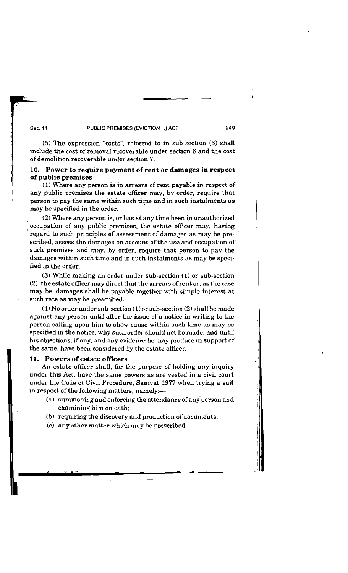### I **Sec. 11 PUBLIC PREMISES (EVICTION** ... **)ACT 249**

(5) The expression "costs", referred to in sub-section (3) shall include the cost of removal recoverable under section 6 and the cost of demolition recoverable under section 7. include the cost of removal recoverable under section 6 and the cost of demolition recoverable under section 7.

## **10.** Power to require payment of rent or damages in respect of public premises

**(1)** Where any person is in arrears of rent payable in respect of any public premises the estate officer may, by order, require that person to pay the same within such time and in such instalments as may be specified in the order.

**(2)** Where any person is, or has at any time been in unauthorized occupation of any public premises, the estate officer may, having regard to such principles of assessment of damages as may be prescribed, assess the damages on account of the use and occupation of such premises and may, by order, require that person to pay the damages within such time and in such instalments as may be specified in the order.

**(3)** While making **an** order under sub-section **(1)** or sub-section **(2),** the estate officer may direct that the arrears ofrent or, as the case may be, damages shall be payable together with simple interest at such rate as may be prescribed.

**(4)** No order under sub-section **(I)** or sub-section (2) shall be made against any person until after the issue of a notice in writing to the person calling upon him to show cause within such time as may be specified in the notice, why such order should not be made, and until his objections, if any, and any evidence he may produce in support of the same, have been considered by the estate officer.

### 11. Powers of estate officers

An estate officer shall, for the purpose of holding any inquiry under this Act, have the same powers as are vested in a civil court under the Code of Civil Procedure, Samvat 1977 when trying a suit in respect of the following matters, namely:-

(a) summoning and enforcing the attendance of anyperson and examining him on oath;

- -- -

- (b) requiring the discovery and production of documents;
- (c) any other matter which may be prescribed.

. \_ **,.l** \*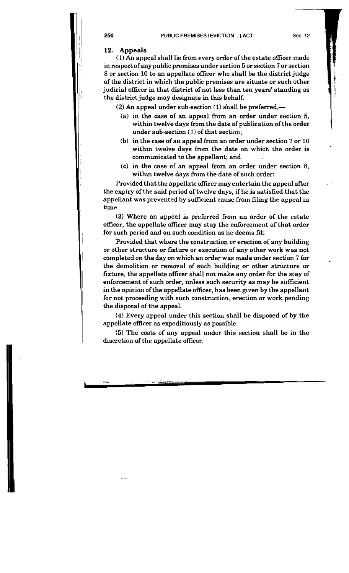### **12. Appeals**

**(1)** An appeal shall lie from every order of the estate officer made in respect of any public premises under section 5 or section 7 or section 8 or section 10 to an appellate officer who shall be the district judge of the district in which the public premises are situate or such other judicial officer in that district of not less than ten years' standing as the district judge may designate in this behalf.

**(2)** An appeal under sub-section (1) shall be preferred,-

- (a) in the case of an appeal from an order under section 5, within twelve days from the date of publication of the order under sub-section (1) of that section;
- (b) in the case of an appeal from an order under section 7 or 10 within twelve days from the date on which the order is communicated to the appellant; and
- (c) in the case of an appeal from an order under section 8, within twelve days from the date of such order:

Provided that the appellate officer may entertain the appeal after the expiry of the said period of twelve days, if he is satisfied that the appellant was prevented by sufficient cause from filing the appeal in time.

(3) Where an appeal is preferred from an order of the estate officer, the appellate officer may stay the enforcement of that order for such period and on such condition as he deems fit:

Provided that where the construction or erection of any building or other structure or fixture or execution of any other work was not completed on the day on which an order was made under section 7 for the demolition or removal of such building or other structure or fixture, the appellate officer shall not make any order for the stay of enforcement of such order, unless such security as may be sufficient in the opinion of the appellate officer, has been given by the appellant for not proceeding with such construction, erection or work pending the disposal of the appeal.

**(4)** Every appeal under this section shall be disposed of by the appellate officer as expeditiously as possible.

(5) The costs of any appeal under this section shall be in the discretion of the appellate officer.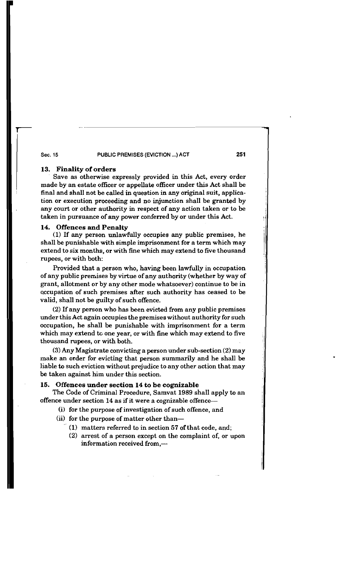### **Sec. 15 PUBLIC PREMISES (EVICTION** ... ) **ACT 251**

### **13. Finality of orders**

Save as otherwise expressly provided in this Act, every order made by an estate officer or appellate officer under this Act shall be final and shall not be called in question in any original suit, application or execution proceeding and no injunction shall be granted by any court or other authority in respect of any action taken or to be taken in pursuance of any power conferred by or under this Act.

### **14. Offences and Penaltv** -

(1) If any person unlawfully occupies any public premises, he shall be punishable with simple imprisonment for a term which may extend to six months, or with fine which may extend to five thousand rupees, or with both:

Provided that a person who, having been lawfully in occupation of any public prerriises by virtue of any authority (whether by way of grant, allotment or by any other mode whatsoever) continue to be in accupation of such premises after such authority has ceased to be valid, shall not be guilty of such offence.

(2) If any person who has been evicted from any public premises under this Act again occupies the premises without authority for such occupation, he shall be punishable with imprisonment for a term which may extend to one year, or with fine which may extend to five thousand rupees, or with both.

**(3)** Any Magistrate convicting a person under sub-section (2) may make an order for evicting that person summarily and he shall be liable to such eviction without prejudice to any other action that may be taken against him under this section.

### **15. Offences under section 14 to be cognizable**

The Code of Criminal Procedure, Samvat 1989 shall apply to an offence under section 14 as if it were a cognizable offence

- (i) for the purpose of investigation of such offence, and
- (ii) for the purpose of matter other than-
	- $(1)$  matters referred to in section 57 of that code, and;
	- (2) arrest of a person except on the complaint of, or upon information received from.-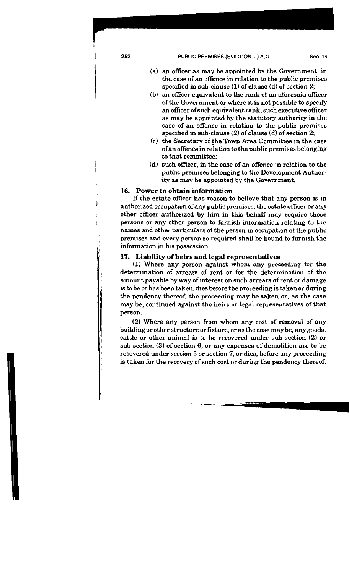I **252 PUBLIC PREMISES (EVICTION** ...) **ACT** Sec. **<sup>16</sup>**

- 
- (a) an officer as may be appointed by the Government, in the case of an offence in relation to the public premises specified in sub-clause **(1)** of clause (d) of section 2;
- (b) an officer equivalent to the rank of an aforesaid officer of the Government or where it is not possible to specify an officer of such equivalent rank, such executive officer **as** may be appointed by the statutory authority in the case of an offence in relation to the public premises specified in sub-clause (2) of clause (d) of section 2;
- (c) the Secretary of the Town Area Committee in the case ofan offence in relation to the public premises belonging to that committee;
- (d) such officer, in the case of an offence in relation to the public premises belonging to the Development Authority as may be appointed by the Government.

### 16. Power to obtain information

If the estate officer has reason to believe that any person is in authorized occupation of any public premises, the estate officer or any other officer authorized by him in this behalf may require those persons or any other person to furnish information relating to the names and other particulars of the person in occupation of the public premises and every person so required shall be bound to furnish the information in his possession.

# 17. Liability of heirs and legal representatives

(I) Where any person against whom any proceeding for the determination of arrears of rent or for the determination of the amount payable by way of interest on such arrears of rent or damage is to be or has been taken, dies before the proceeding is taken or during the pendency thereof, the proceeding may be taken or, as the case may be, continued against the heirs or legal representatives of that person.

(2) Where any person from whom any cost of removal of any building or other structure or fixture, or as the case may be, any goods, cattle or other animal is to be recovered under sub-section (2) or sub-section **(3)** of section 6, or any expenses of demolition are to be recovered under section 5 or section 7, or dies, before any proceeding is taken for the recovery of such cost or during the pendency thereof,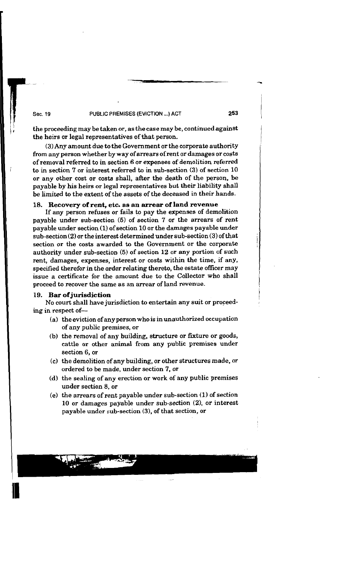### **Sec. 19 PUBLIC PREMISES (EVICTION** ... ) **ACT**

the proceeding may be taken or, as the case may be, continued against <sup>1</sup> the heirs or legal representatives of that person. <sup>I</sup>

(3) Any amount due to the Government or the corporate authority from any person whether by way of arrears of rent or damages or costs of removal referred to in section 6 or expenses of demolition referred to in section 7 or interest referred to in sub-section **(3)** of section 10 or any other cost or costa shall, after the death of the person, be payable by his heirs or legal representatives but their liability shall be limited to the extent of the assets of the deceased in their hands.

### 18. Recovery of rent, etc. as an **arrear** of land **revenue**

If any person refuses or fails to pay the expenses of demolition payable under sub-section **(5)** of section 7 or the arrears of rent payable under section (1) of section 10 or the damages payable under sub-section(2) or the interest determined under sub-section (3) of that section or the costs awarded to the Government or the corporate authority under sub-section **(5)** of section 12 or any portion of such rent, damages, expenses, interest or costs within the time, if any, specified therefor in the order relating thereto, the estate officer may issue a certificate for the amount due to the Collector who shall proceed to recover the same as an arrear of land revenue.

### 19. Bar of jurisdiction

No court shall have jurisdiction to entertain any suit or proceeding in respect of-

- (a) the eviction of any person who is in unauthorized occupation of any public premises, or
- (b) the removal of any building, structure or fixture or goods, cattle or other animal from any public premises under section 6, or
- (c) the demolition of any building, or other structures made, or ordered to be made, under section 7, or
- (d) the sealing of any erection or work of any public premises under section 8, or
- (e) the arrears of rent payable under sub-section (1) of section 10 or damages payable under sub-section (2), or interest payable under sub-section **(3),** of that section, or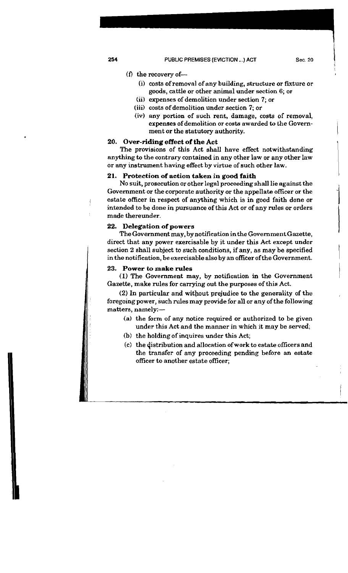### (f) the recovery of-

- (i) costs of removal of any building, structure or fixture or goods, cattle or other animal under section 6; or
- (ii) expenses of demolition under section 7; or
- (iii) costs of demolition under section 7; or
- (iv) any portion of such rent, damage, costs of removal, expenses of demolition or costs awarded to the Government or the statutory authority.

### 20. Over-riding effect of the Act

The provisions of this Act shall have effect notwithstanding anything to the contrary contained in any other law or any other law or any instrument having effect by virtue of such other law.

### 21. Protection of action taken in good faith

No suit, prosecution or other legal proceeding shall lie against the Government or the corporate authority or the appellate officer or the estate officer in respect of anything which is in good faith done or intended to be done in pursuance of this Act or of any rules or orders made thereunder.

### 22. Delegation of powers

The Government may, by notification inthe GovernmentGazette. direct that any power exercisable by it under this Act except under section 2 shall subject to such conditions, if any, as may be specified in the notification, be exercisable also by an officer of the Government.

### 23. Power to **make** mles

(1) The Government may, by notification in the Government Gazette, make rules for carrying out the purposes of this Act.

(2) In particular and without prejudice to the generality of the foregoing power, such rules may provide for all or any of the following matters, namely:-

- **(a)** the form of any notice required or authorized to be given under this Act and the manner in which it may be served;
- (b) the holding of inquires under this Act;
- (c) the qistribution and allocation of work to estate officers and the transfer of any proceeding pending before an estate officer to another estate officer;

i

-1

 $\vert$ 

I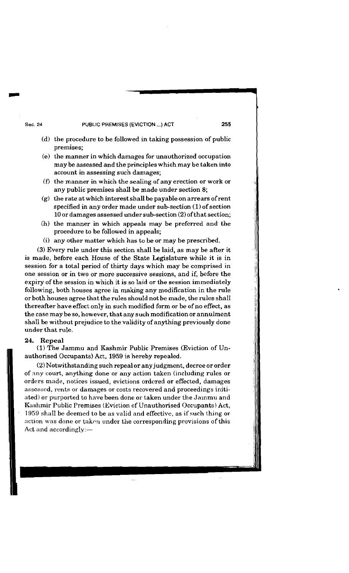### **Sec. 24 PUBLIC PREMISES (EVICTION** ...) **ACT 255**

- 
- (d) the procedure to be followed in taking possession of public premises;
- (e) the manner in which damages for unauthorized occupation may be assessed and the principles which may be taken into account in assessing such damages;
- (f) the manner in which the sealing of any erection or work or any public premises shall be made under section 8;
- $(g)$  the rate at which interest shall be payable on arrears of rent specified in any order made under sub-section (1) of section 10 or damages assessed under sub-section (2) ofthat section;
- (h) the manner in which appeals may be preferred and the procedure to be followed in appeals;
- (i) any other matter which has to be or may be prescribed.

**(3)** Every rule under this section shall be laid, as may be after it is made, before each House of the State Legislature while it is in session for a total period of thirty days which may be comprised in one session or in two or more successive sessions, and if, before the expiry of the session in which it is so laid or the session immediately following, both houses agree in making any modification in the rule or both houses agree that the rules should not be made, the rules shall thereafter have effect only in such modified form or be of no effect, as the case may be so, however, that any such modification or annulment shall be without prejudice to the validity of anything previously done under that rule.

### **24. Repeal**

**(1)** The Jammu and Kashmir Public Premises (Eviction of Unauthorised Occupants) Act, 1959 is hereby repealed.

(2)Notwithstanding such repeal or any judgment, decree or order of any court, anything done or any action taken (including rules or orders made, notices issued, evictions ordered or effected, damages asscsscd, rents or damages or costs recovered and proceedings initiated) or purported to have been done or taken under the Jammu and Kashmir Public Premises (Eviction of Unauthorised Occupants) Act, 1959 shall be deemed to be as valid and effective, as if such thing or action was done or taken under the corresponding provisions of this Act and accordingly:-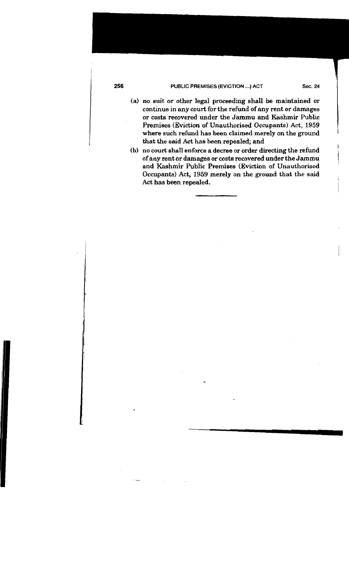### **PUBLIC PREMISES (EVICTION ...) ACT Sec. 24**

(a) no suit or other legal proceeding shall be maintained or continue in any court for the refund of any rent or damages or costs recovered under the Jamrnu and Kashmir Public Premises (Eviction of Unauthorised Occupants) Act, 1959 where such refund has been claimed merely on the ground that the said Act has been repealed; and

(b) no court shall enforce a decree or order directing the refund of any rent or damages or costs recovered under the Jammu <sup>1</sup> and Kashmir Public Premises (Eviction of Unauthorised Occupants) Act, 1959 merely on the **ground** that the said Act has been repealed.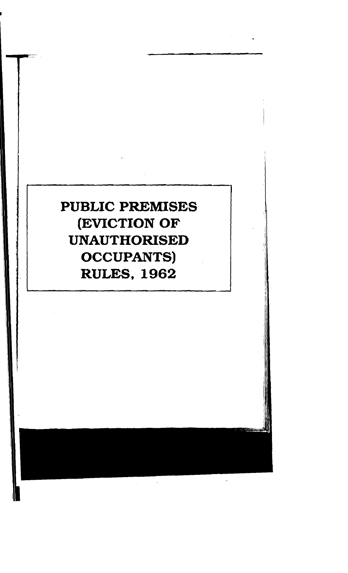# **PUBLIC PREMISES (EVICTION OF UNAUTHORISED OCCUPANTS) RULES, 1962**

 $\hat{\mathcal{A}}$ 

 $\frac{1}{\sqrt{2}}\int_{0}^{\sqrt{2}}\frac{dx}{\sqrt{2}}dx$  , where  $\frac{1}{\sqrt{2}}\int_{0}^{\sqrt{2}}\frac{dx}{\sqrt{2}}dx$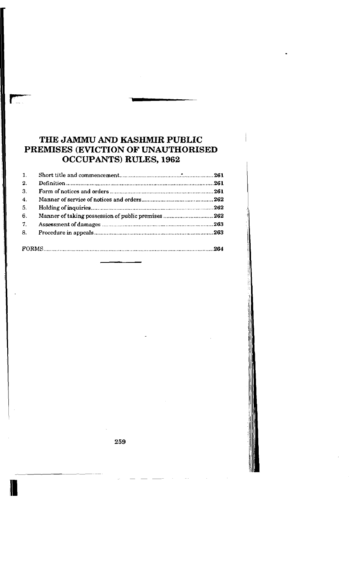# **THE JAMMU AND KASHMIR PUBLIC PREMISES (EVICTION OF UNAUTHORISED OCCUPANTS) RULES, 1962**

| $\mathbf{1}$ .   |  |  |
|------------------|--|--|
| 2.               |  |  |
| 3.               |  |  |
| $\overline{4}$ . |  |  |
| 5.               |  |  |
| 6.               |  |  |
| 7 <sub>1</sub>   |  |  |
| 8.               |  |  |
|                  |  |  |
|                  |  |  |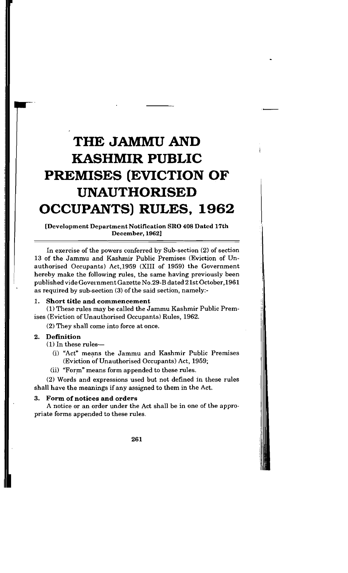# **THE JAMMU AND KASHMIR PUBLIC PREMISES (EVICTION OF UNAUTHORISED OCCUPANTS) RULES, 1962**

[Development Department Notification SRO 408 Dated 17th December, 1962]

In exercise of the powers conferred by Sub-section (2) of section 13 of the Jammu and Kashmir Public Premises (Eviction of Unauthorised Occupants) Act.1959 (XI11 of 1959) the Government hereby make the following rules, the same having previously been published vide Government Gazette No.29-B dated 21st October,l961 as required by sub-section **(3)** of the said section, namely:-

### 1. **Short title and commencement**

(1) These rules may be called the Jammu Kashmir Public Premises (Eviction of Unauthorised Occupants) Rules, 1962.

(2) They shall come into force at once.

### **2. Definition**

(1) In these rules-

- (i) "Act" means the Jammu and Kashmir Public Premises (Eviction of Unauthorised Occupants) Act, 1959;
- (ii) "Form" means form appended to these rules.

(2) Words and expressions used but not defined in these rules shall have the meanings if any assigned to them in the Act.

### **3. Form of notices and orders**

A notice or an order under the Act shall be in one of the appropriate forms appended to these rules.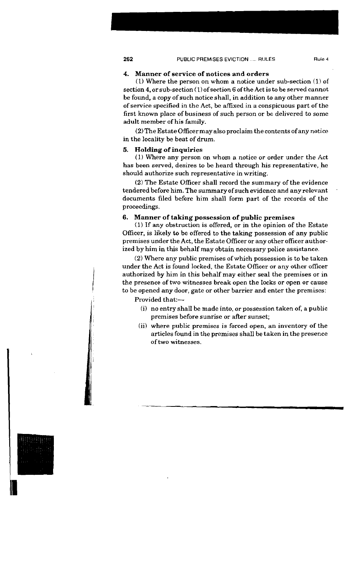### 4. Manner of service of notices **and** orders

(1) Where the person on whom a notice under sub-section (1) of section 4, or sub-section (1) of section 6 of the Act is to be served cannot be found, a copy of such notice shall, in addition **to** any other manner of service specified in the Act, be affixed in a conspicuous part of the first known place of business of such person or be delivered to some adult member of his family.

 $(2)$  The Estate Officer may also proclaim the contents of any notice in the locality be beat of drum.

### 5. Holding of inquiries

(1) Where any person on whom a notice or order under the Act has been served, desires to be heard through his representative, he should authorize such representative in writing.

(2) The Estate Officer shall record the summary of the evidence tendered before him. The summary of such evidence and any relevant documents filed before him shall form part of the records of the proceedings.

### 6. Manner of taking possession of public premises

**(1)** If any obstruction is offered, or in the opinion of the Estate Officer, is likely to be offered to the taking possession of any public premises under the Act, the Estate Officer or any other officer authorized by him in this behalf may obtain necessary police assistance.

**(2)** Where any public premises of which possession is to be taken under the Act is found locked, the Estate Officer or any other officer authorized by him in this behalf may either seal the premises or in the presence of two witnesses break open the locks or open or cause to be opened any door, gate or other barrier and enter the premises:

Provided that:-

- (i) no entry shall be made into, or possession taken of, a public premises before sunrise or after sunset;
- (ii) where public premises is forced open, an inventory of the articles found in the premises shall be taken in the presence of two witnesses.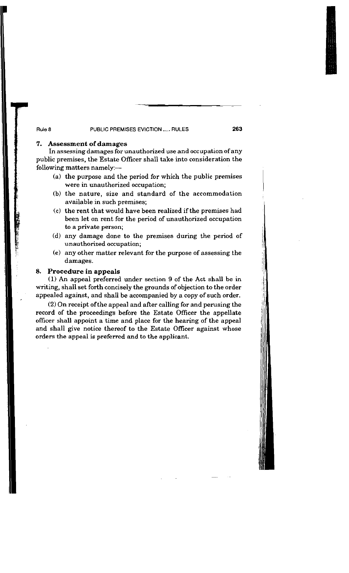### I **Rule 8 PUBLIC PREMISES EVICTION** ..... **RULES 263**

## 7. Assessment of damages

In assessing damages for unauthorized use and occupation of any <sup>1</sup>public premises, the Estate Officer shall take into consideration the following matters namely,-

- (a) the purpose and the period for which the public premises
- were in unauthorized occupation;<br>(b) the nature, size and standard of the accommodation available in such premises;
- (c) the rent that would have been realized if the premises had been let on rent for the period of unauthorized occupation to a private person;
- (d) any damage done to the premises during the period of unauthorized occupation;
- (e) any other matter relevant for the purpose of assessing the damages.

## 8. Procedure in appeals

**(1)** An appeal preferred under section 9 of the Act shall be in writing, shall set forth concisely the grounds of objection to the order appealed against, and shall be accompanied by a copy of such order.

(2) On receipt ofthe appeal and after calling for and perusing the record of the proceedings before the Estate Officer the appellate officer shall appoint a time and place for the hearing of the appeal and shall give notice thereof to the Estate Officer against whose orders the appeal is preferred and to the applicant.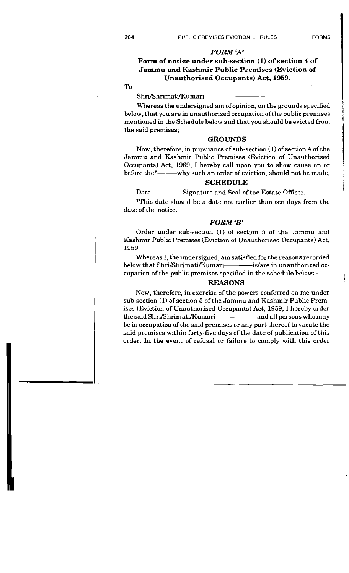# *FORM 'A'*

## **Form of notice under sub-section (I) of section 4 of Jammu and Kashmir Public Premises (Eviction of Unauthorised Occupants) Act, 1959.**

To

Shri/Shrimati/Kumari --

Whereas the undersigned am of opinion, on the grounds specified below, that you are in unauthorized occupation ofthe pubiic premises mentioned in the Schedule below and that you should be evicted from the said premises; GROUNDS

Now, therefore, in pursuance of sub-section (1) of section 4 of the Jammu and Kashmir Public Premises (Eviction of Unauthorised Occupants) Act, 1969, I hereby call upon you to show cause on or before the\*--------why such an order of eviction, should not be made,

### **SCHEDULE**

Date — Signature and Seal of the Estate Officer.

\*This date should be a date not earlier than ten days from the date of the notice.

### *FORM* **'B'**

Order under sub-section (1) of section 5 of the Jammu and Kashmir Public Premises (Eviction of Unauthorised Occupants) Act, 1959.

Whereas I, the undersigned, am satisfied for the reasons recorded below that Shri/Shrimati/Kumari - - - - - is/are in unauthorized occupation of the public premises specified in the schedule below: -

### **REASONS**

Now, therefore, in exercise of the powers conferred on me under sub-section (1) of section 5 of the Jammu and Kashmir Public Premises (Eviction of Unauthorised Occupants) Act, 1959, I hereby order the said Shri/Shrimati/Kumari — — — and all persons who may be in occupation of the said premises or any part thereof to vacate the said premises within forty-five days of the date of publication of this order. In the event of refusal or failure to comply with this order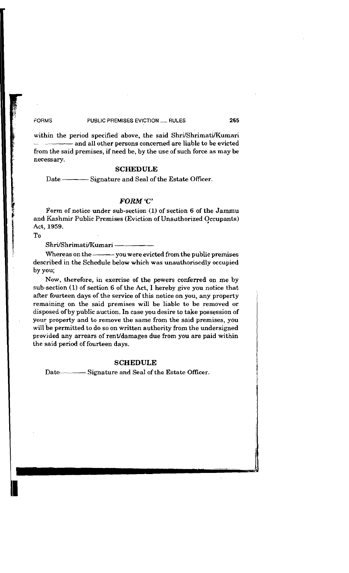### **FORMS PUSLIC PREMISES EVICTION** ..... **RULES 265**

within the period specified above, the said Shri/Shrimati/Kumari<br>
- ------------------ and all other persons concerned are liable to be evicted from the said premises, if need be, by the use of such force as may be necessary.

### **SCHEDULE**

Date --------------- Signature and Seal of the Estate Officer.

### *FORM 'C'*

Form of notice under sub-section **(1)** of section 6 of the Jammu and Kashmir Public Premises (Eviction of Unauthorized Occupants) Act, 1959.

To

### Shri/Shrimati/Kumari -

Whereas on the ----------- you were evicted from the public premises described in the Schedule below which was unauthorisedly occupied by you;

Now, therefore, in exercise of the powers conferred on me by sub-section (1) of section 6 of the Act, I hereby give you notice that after fourteen days of the service of this notice on you, any property remaining on the said premises will be liable to be removed or disposed of by public auction. In case you desire to take possession of your property and to remove the same from the said premises, you will be permitted to do so on written authority from the undersigned provided any arrears of rent/damages due from you are paid within the said period of fourteen days.

### **SCHEDULE**

Date--------------- Signature and Seal of the Estate Officer.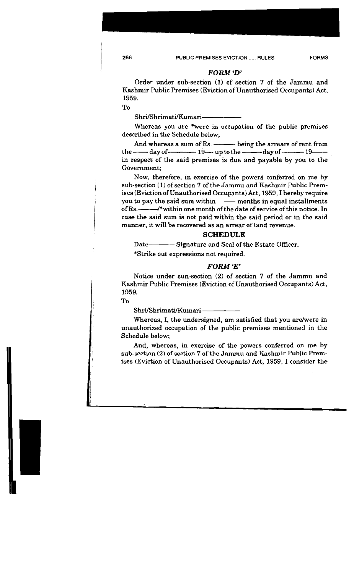### *FORM 'D'*

Order under sub-section (1) of section 7 of the Jammu and Kashmir Public Premises (Eviction of Unauthorised Occupants) Act, 1959.

To

Shri/Shrimati/Kumari-

Whereas you are \*were in occupation of the public premises described in the Schedule below;

And whereas a sum of Rs. ——— being the arrears of rent from<br>—— day of ———— 19— up to the ——— day of ——— 19— the - day of - 19-uptothe- day of 19- in respect of the said premises is due and payable by you to the Government;

Now, therefore, in exercise of the powers conferred on me by sub-section (1) of section 7 of the Jammu and Kashmir Public Premises (Eviction of Unauthorised Occupants) Act, 1959, I hereby require you to pay the said sum within--- months in equal installments of Rs.--------/\*within one month of the date of service of this notice. In case the said sum is not paid within the said period or in the said manner, it will be recovered as an arrear of land revenue.

### **SCHEDULE**

Bate Signature and Seal of the Estate Officer.

\*Strike out expressions not required.

### *FORM 'E'*

Notice under sun-section (2) of section 7 of the Jammu and Kashmir Public Premises (Eviction of Unauthorised Occupants) Act, 1959.

To

Shri/Shrimati/Kumari-

Whereas, I, the undersigned, am satisfied that you are/were in unauthorized occupation of the public premises mentioned in the Schedule below;

And, whereas, in exercise of the powers conferred on me by sub-section **(2)** of section 7 of the Jammu and Kashmir Public Premises (Eviction of Unauthorised Occupants) Act, 1959, I consider the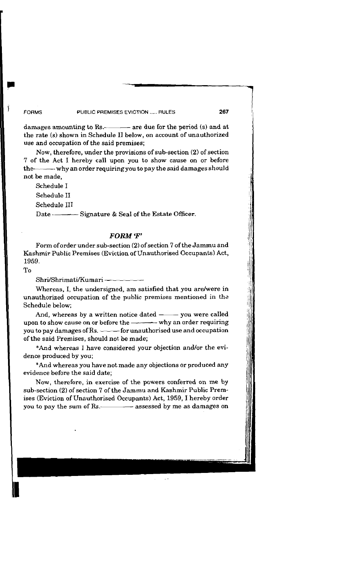### **FORMS**

### **PUBLIC PREMISES** EVICTION ..... **RULES**

damages amounting to Rs.---------- are due for the period (s) and at the rate (s) shown in Schedule I1 below, on account of unauthorized use and occupation of the said premises;

Now, therefore, under the provisions of sub-section (2) of section 7 of the Act I hereby call upon you to show cause on or before the---------- why an order requiring you to pay the said damages should not be made.

Schedule I

Schedule I1

Schedule I11

Signature & Seal of the Estate Officer. Date —

### FORM 'F'

Form oforder under sub-section (2) of section 7 of the Jammu and Kashmir Public Premises (Eviction of Unauthorised Occupants) Act, 1959.

To

Shri/Shrimati/Kumari —

Whereas, I, the undersigned, am satisfied that you are/were in unauthorized occupation of the public premises mentioned in the Schedule below;

And, whereas by a written notice dated  $-\longrightarrow$  you were called upon to show cause on or before the  $\longrightarrow$  why an order requiring And, whereas by a written notice dated  $-\cdots$  you were called<br>upon to show cause on or before the  $-\cdots$  why an order requiring<br>you to pay damages of Rs.  $-\cdots$  for unauthorised use and occupation<br>of the said Promises, shoul of the said Premises, should not be made;

\*And whereas I have considered your objection and/or the evidence produced by you;

\*And whereas you have not made any objections or produced any evidence before the said date;

Now, therefore, in exercise of the powers conferred on me by sub-section (2) of section 7 of the Jammu and Kashmir Public Premises (Eviction of Unauthorised Occupants) Act, 1959, I hereby order you to pay the sum of Rs. assessed by me as damages on

 $\gamma_{\rm{min}}$